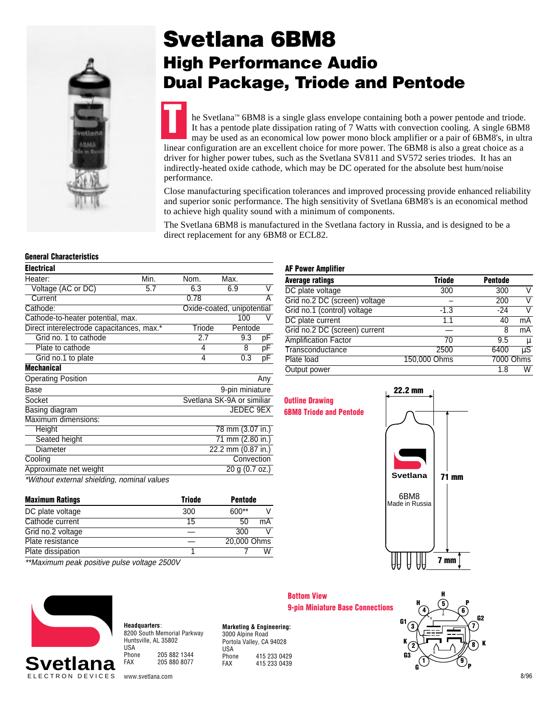

## **Svetlana 6BM8 High Performance Audio Dual Package, Triode and Pentode**

he Svetlana™ 6BM8 is a single glass envelope containing both a power pentode and triode. It has a pentode plate dissipation rating of 7 Watts with convection cooling. A single 6BM8 may be used as an economical low power mono block amplifier or a pair of 6BM8's, in ultra linear configuration are an excellent choice for more power. The 6BM8 is also a great choice as a driver for higher power tubes, such as the Svetlana SV811 and SV572 series triodes. It has an indirectly-heated oxide cathode, which may be DC operated for the absolute best hum/noise performance. **T**

Close manufacturing specification tolerances and improved processing provide enhanced reliability and superior sonic performance. The high sensitivity of Svetlana 6BM8's is an economical method to achieve high quality sound with a minimum of components.

The Svetlana 6BM8 is manufactured in the Svetlana factory in Russia, and is designed to be a direct replacement for any 6BM8 or ECL82.

## **General Characteristics**

| <b>Electrical</b>                           |      |                            |                            |     |
|---------------------------------------------|------|----------------------------|----------------------------|-----|
| Heater:                                     | Min. | Nom.                       | Max.                       |     |
| Voltage (AC or DC)                          | 5.7  | 6.3                        | 6.9                        | V   |
| Current                                     |      | 0.78                       |                            | А   |
| Cathode:                                    |      | Oxide-coated, unipotential |                            |     |
| Cathode-to-heater potential, max.           |      |                            | 100                        | V   |
| Direct interelectrode capacitances, max.*   |      | Triode                     | Pentode                    |     |
| Grid no. 1 to cathode                       |      | 2.7                        | 9.3                        | pF  |
| Plate to cathode                            |      | 4                          | 8                          | pF  |
| Grid no.1 to plate                          |      | 4                          | 0.3                        | pF  |
| <b>Mechanical</b>                           |      |                            |                            |     |
| <b>Operating Position</b>                   |      |                            |                            | Any |
| Base                                        |      |                            | 9-pin miniature            |     |
| Socket                                      |      |                            | Svetlana SK-9A or similiar |     |
| Basing diagram                              |      |                            | JEDEC 9EX                  |     |
| Maximum dimensions:                         |      |                            |                            |     |
| Height                                      |      |                            | 78 mm (3.07 in.)           |     |
| Seated height                               |      |                            | 71 mm (2.80 in.)           |     |
| Diameter                                    |      |                            | 22.2 mm (0.87 in.)         |     |
| Cooling                                     |      |                            | Convection                 |     |
| Approximate net weight                      |      |                            | 20 g (0.7 oz.)             |     |
| *Without external shielding, nominal values |      |                            |                            |     |

**Maximum Ratings Triode** Pentode DC plate voltage  $300$  600\*\* V Cathode current 15 50 mA Grid no.2 voltage  $-$  300 V Plate resistance — 20,000 Ohms Plate dissipation 1 7 W

## **AF Power Amplifier**

| Average ratings               | <b>Triode</b> | <b>Pentode</b> |                    |
|-------------------------------|---------------|----------------|--------------------|
| DC plate voltage              | 300           | 300            |                    |
| Grid no.2 DC (screen) voltage |               | 200            |                    |
| Grid no.1 (control) voltage   | $-1.3$        | $-24$          |                    |
| DC plate current              | 1.1           | 40             | mA                 |
| Grid no.2 DC (screen) current |               | 8              | mA                 |
| <b>Amplification Factor</b>   | 70            | 9.5            | μ                  |
| Transconductance              | 2500          | 6400           | $\overline{\mu S}$ |
| Plate load                    | 150,000 Ohms  |                | 7000 Ohms          |
| Output power                  |               | 1.8            | W                  |





\*\*Maximum peak positive pulse voltage 2500V



**Headquarters**: 8200 South Memorial Parkway Huntsville, AL 35802 USA<br>Phone Phone 205 882 1344<br>FAX 205 880 8077 FAX 205 880 8077

**Marketing & Engineering:** 3000 Alpine Road Portola Valley, CA 94028 USA<br>Phone Phone 415 233 0429<br>FAX 415 233 0439 415 233 0439

**Bottom View 9-pin Miniature Base Connections**



www.svetlana.com